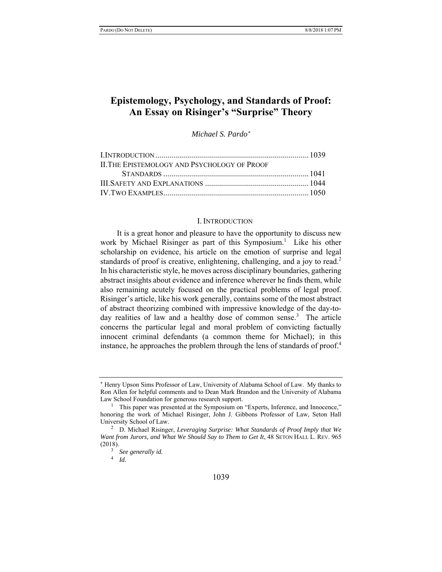# **Epistemology, Psychology, and Standards of Proof: An Essay on Risinger's "Surprise" Theory**

*Michael S. Pardo*

| <b>ILTHE EPISTEMOLOGY AND PSYCHOLOGY OF PROOF</b> |  |
|---------------------------------------------------|--|
|                                                   |  |
|                                                   |  |
|                                                   |  |
|                                                   |  |

#### I. INTRODUCTION

It is a great honor and pleasure to have the opportunity to discuss new work by Michael Risinger as part of this Symposium.<sup>1</sup> Like his other scholarship on evidence, his article on the emotion of surprise and legal standards of proof is creative, enlightening, challenging, and a joy to read.<sup>2</sup> In his characteristic style, he moves across disciplinary boundaries, gathering abstract insights about evidence and inference wherever he finds them, while also remaining acutely focused on the practical problems of legal proof. Risinger's article, like his work generally, contains some of the most abstract of abstract theorizing combined with impressive knowledge of the day-today realities of law and a healthy dose of common sense.<sup>3</sup> The article concerns the particular legal and moral problem of convicting factually innocent criminal defendants (a common theme for Michael); in this instance, he approaches the problem through the lens of standards of proof.<sup>4</sup>

Henry Upson Sims Professor of Law, University of Alabama School of Law. My thanks to Ron Allen for helpful comments and to Dean Mark Brandon and the University of Alabama Law School Foundation for generous research support.

<sup>&</sup>lt;sup>1</sup> This paper was presented at the Symposium on "Experts, Inference, and Innocence," honoring the work of Michael Risinger, John J. Gibbons Professor of Law, Seton Hall University School of Law. 2

D. Michael Risinger, *Leveraging Surprise: What Standards of Proof Imply that We*  Want from Jurors, and What We Should Say to Them to Get It, 48 SETON HALL L. REV. 965 (2018).

<sup>&</sup>lt;sup>3</sup> See generally id.<br><sup>4</sup> Id

*Id.*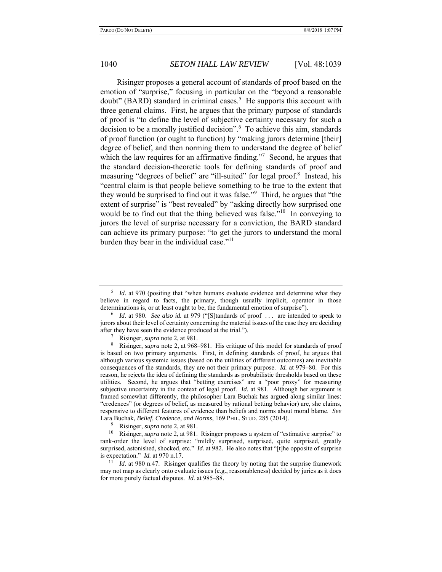Risinger proposes a general account of standards of proof based on the emotion of "surprise," focusing in particular on the "beyond a reasonable doubt" (BARD) standard in criminal cases.<sup>5</sup> He supports this account with three general claims. First, he argues that the primary purpose of standards of proof is "to define the level of subjective certainty necessary for such a decision to be a morally justified decision".6 To achieve this aim, standards of proof function (or ought to function) by "making jurors determine [their] degree of belief, and then norming them to understand the degree of belief which the law requires for an affirmative finding."<sup>7</sup> Second, he argues that the standard decision-theoretic tools for defining standards of proof and measuring "degrees of belief" are "ill-suited" for legal proof.<sup>8</sup> Instead, his "central claim is that people believe something to be true to the extent that they would be surprised to find out it was false."<sup>9</sup> Third, he argues that "the extent of surprise" is "best revealed" by "asking directly how surprised one would be to find out that the thing believed was false."<sup>10</sup> In conveying to jurors the level of surprise necessary for a conviction, the BARD standard can achieve its primary purpose: "to get the jurors to understand the moral burden they bear in the individual case."<sup>11</sup>

9 Risinger, *supra* note 2, at 981.

10 Risinger, *supra* note 2, at 981. Risinger proposes a system of "estimative surprise" to rank-order the level of surprise: "mildly surprised, surprised, quite surprised, greatly surprised, astonished, shocked, etc." *Id.* at 982. He also notes that "[t]he opposite of surprise is expectation." *Id.* at 970 n.17.

 $11$  *Id.* at 980 n.47. Risinger qualifies the theory by noting that the surprise framework may not map as clearly onto evaluate issues (e.g., reasonableness) decided by juries as it does for more purely factual disputes. *Id.* at 985–88.

<sup>&</sup>lt;sup>5</sup> *Id.* at 970 (positing that "when humans evaluate evidence and determine what they believe in regard to facts, the primary, though usually implicit, operator in those determinations is, or at least ought to be, the fundamental emotion of surprise").

<sup>6</sup> *Id.* at 980. *See also id.* at 979 ("[S]tandards of proof . . . are intended to speak to jurors about their level of certainty concerning the material issues of the case they are deciding after they have seen the evidence produced at the trial.").

Risinger, *supra* note 2, at 981.

<sup>8</sup> Risinger, *supra* note 2, at 968–981. His critique of this model for standards of proof is based on two primary arguments. First, in defining standards of proof, he argues that although various systemic issues (based on the utilities of different outcomes) are inevitable consequences of the standards, they are not their primary purpose. *Id.* at 979–80. For this reason, he rejects the idea of defining the standards as probabilistic thresholds based on these utilities. Second, he argues that "betting exercises" are a "poor proxy" for measuring subjective uncertainty in the context of legal proof. *Id.* at 981. Although her argument is framed somewhat differently, the philosopher Lara Buchak has argued along similar lines: "credences" (or degrees of belief, as measured by rational betting behavior) are, she claims, responsive to different features of evidence than beliefs and norms about moral blame. *See* Lara Buchak, *Belief, Credence, and Norms*, 169 PHIL. STUD. 285 (2014).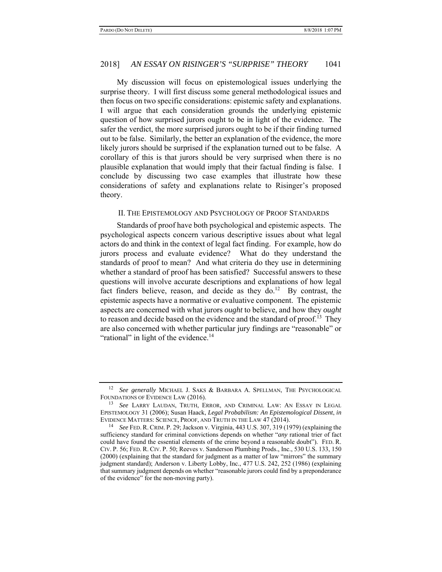My discussion will focus on epistemological issues underlying the surprise theory. I will first discuss some general methodological issues and then focus on two specific considerations: epistemic safety and explanations. I will argue that each consideration grounds the underlying epistemic question of how surprised jurors ought to be in light of the evidence. The safer the verdict, the more surprised jurors ought to be if their finding turned out to be false. Similarly, the better an explanation of the evidence, the more likely jurors should be surprised if the explanation turned out to be false. A corollary of this is that jurors should be very surprised when there is no plausible explanation that would imply that their factual finding is false. I conclude by discussing two case examples that illustrate how these considerations of safety and explanations relate to Risinger's proposed theory.

#### II. THE EPISTEMOLOGY AND PSYCHOLOGY OF PROOF STANDARDS

Standards of proof have both psychological and epistemic aspects. The psychological aspects concern various descriptive issues about what legal actors do and think in the context of legal fact finding. For example, how do jurors process and evaluate evidence? What do they understand the standards of proof to mean? And what criteria do they use in determining whether a standard of proof has been satisfied? Successful answers to these questions will involve accurate descriptions and explanations of how legal fact finders believe, reason, and decide as they  $d_0$ .<sup>12</sup> By contrast, the epistemic aspects have a normative or evaluative component. The epistemic aspects are concerned with what jurors *ought* to believe, and how they *ought*  to reason and decide based on the evidence and the standard of proof.<sup>13</sup> They are also concerned with whether particular jury findings are "reasonable" or "rational" in light of the evidence.<sup>14</sup>

<sup>&</sup>lt;sup>12</sup> See generally MICHAEL J. SAKS & BARBARA A. SPELLMAN, THE PSYCHOLOGICAL FOUNDATIONS OF EVIDENCE LAW (2016).

<sup>13</sup> *See* LARRY LAUDAN, TRUTH, ERROR, AND CRIMINAL LAW: AN ESSAY IN LEGAL EPISTEMOLOGY 31 (2006); Susan Haack, *Legal Probabilism: An Epistemological Dissent*, *in* EVIDENCE MATTERS: SCIENCE, PROOF, AND TRUTH IN THE LAW 47 (2014). 14 *See* FED. R. CRIM. P. 29; Jackson v. Virginia, 443 U.S. 307, 319 (1979) (explaining the

sufficiency standard for criminal convictions depends on whether "*any* rational trier of fact could have found the essential elements of the crime beyond a reasonable doubt"). FED. R. CIV. P. 56; FED. R. CIV. P. 50; Reeves v. Sanderson Plumbing Prods., Inc., 530 U.S. 133, 150 (2000) (explaining that the standard for judgment as a matter of law "mirrors" the summary judgment standard); Anderson v. Liberty Lobby, Inc., 477 U.S. 242, 252 (1986) (explaining that summary judgment depends on whether "reasonable jurors could find by a preponderance of the evidence" for the non-moving party).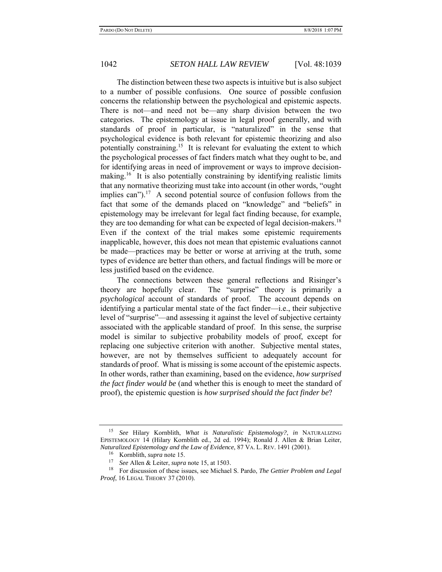The distinction between these two aspects is intuitive but is also subject to a number of possible confusions. One source of possible confusion concerns the relationship between the psychological and epistemic aspects. There is not—and need not be—any sharp division between the two categories. The epistemology at issue in legal proof generally, and with standards of proof in particular, is "naturalized" in the sense that psychological evidence is both relevant for epistemic theorizing and also potentially constraining.<sup>15</sup> It is relevant for evaluating the extent to which the psychological processes of fact finders match what they ought to be, and for identifying areas in need of improvement or ways to improve decisionmaking.<sup>16</sup> It is also potentially constraining by identifying realistic limits that any normative theorizing must take into account (in other words, "ought implies can").<sup>17</sup> A second potential source of confusion follows from the fact that some of the demands placed on "knowledge" and "beliefs" in epistemology may be irrelevant for legal fact finding because, for example, they are too demanding for what can be expected of legal decision-makers.<sup>18</sup> Even if the context of the trial makes some epistemic requirements inapplicable, however, this does not mean that epistemic evaluations cannot be made—practices may be better or worse at arriving at the truth, some types of evidence are better than others, and factual findings will be more or less justified based on the evidence.

The connections between these general reflections and Risinger's theory are hopefully clear. The "surprise" theory is primarily a *psychological* account of standards of proof. The account depends on identifying a particular mental state of the fact finder—i.e., their subjective level of "surprise"—and assessing it against the level of subjective certainty associated with the applicable standard of proof. In this sense, the surprise model is similar to subjective probability models of proof, except for replacing one subjective criterion with another. Subjective mental states, however, are not by themselves sufficient to adequately account for standards of proof. What is missing is some account of the epistemic aspects. In other words, rather than examining, based on the evidence, *how surprised the fact finder would be* (and whether this is enough to meet the standard of proof), the epistemic question is *how surprised should the fact finder be*?

<sup>15</sup> *See* Hilary Kornblith, *What is Naturalistic Epistemology?*, *in* NATURALIZING EPISTEMOLOGY 14 (Hilary Kornblith ed., 2d ed. 1994); Ronald J. Allen & Brian Leiter, *Naturalized Epistemology and the Law of Evidence*, 87 VA. L. REV. 1491 (2001).

<sup>&</sup>lt;sup>16</sup> Kornblith, *supra* note 15.<br><sup>17</sup> See Allen & Leiter *supra* 

<sup>17</sup> *See* Allen & Leiter, *supra* note 15, at 1503.

<sup>18</sup> For discussion of these issues, see Michael S. Pardo, *The Gettier Problem and Legal Proof*, 16 LEGAL THEORY 37 (2010).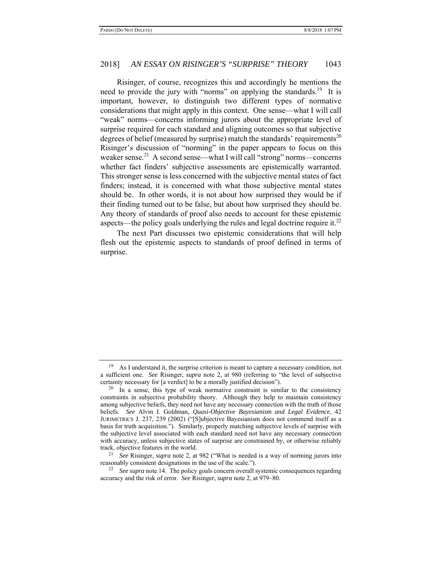Risinger, of course, recognizes this and accordingly he mentions the need to provide the jury with "norms" on applying the standards.<sup>19</sup> It is important, however, to distinguish two different types of normative considerations that might apply in this context. One sense—what I will call "weak" norms—concerns informing jurors about the appropriate level of surprise required for each standard and aligning outcomes so that subjective degrees of belief (measured by surprise) match the standards' requirements<sup>20</sup> Risinger's discussion of "norming" in the paper appears to focus on this weaker sense.<sup>21</sup> A second sense—what I will call "strong" norms—concerns whether fact finders' subjective assessments are epistemically warranted. This stronger sense is less concerned with the subjective mental states of fact finders; instead, it is concerned with what those subjective mental states should be. In other words, it is not about how surprised they would be if their finding turned out to be false, but about how surprised they should be. Any theory of standards of proof also needs to account for these epistemic aspects—the policy goals underlying the rules and legal doctrine require it.<sup>22</sup>

The next Part discusses two epistemic considerations that will help flesh out the epistemic aspects to standards of proof defined in terms of surprise.

 $19$  As I understand it, the surprise criterion is meant to capture a necessary condition, not a sufficient one. *See* Risinger, *supra* note 2, at 980 (referring to "the level of subjective certainty necessary for [a verdict] to be a morally justified decision").

 $20$  In a sense, this type of weak normative constraint is similar to the consistency constraints in subjective probability theory. Although they help to maintain consistency among subjective beliefs, they need not have any necessary connection with the truth of those beliefs. *See* Alvin I. Goldman, *Quasi-Objective Bayesianism and Legal Evidence*, 42 JURIMETRICS J. 237, 239 (2002) ("[S]ubjective Bayesianism does not commend itself as a basis for truth acquisition."). Similarly, properly matching subjective levels of surprise with the subjective level associated with each standard need not have any necessary connection with accuracy, unless subjective states of surprise are constrained by, or otherwise reliably track, objective features in the world. 21 *See* Risinger, *supra* note 2, at 982 ("What is needed is a way of norming jurors into

reasonably consistent designations in the use of the scale."). 22 *See supra* note 14. The policy goals concern overall systemic consequences regarding

accuracy and the risk of error. *See* Risinger, *supra* note 2, at 979–80.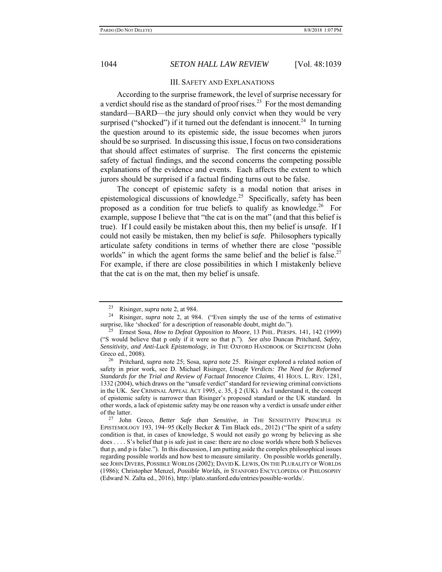#### III. SAFETY AND EXPLANATIONS

According to the surprise framework, the level of surprise necessary for a verdict should rise as the standard of proof rises.<sup>23</sup> For the most demanding standard—BARD—the jury should only convict when they would be very surprised ("shocked") if it turned out the defendant is innocent.<sup>24</sup> In turning the question around to its epistemic side, the issue becomes when jurors should be so surprised. In discussing this issue, I focus on two considerations that should affect estimates of surprise. The first concerns the epistemic safety of factual findings, and the second concerns the competing possible explanations of the evidence and events. Each affects the extent to which jurors should be surprised if a factual finding turns out to be false.

The concept of epistemic safety is a modal notion that arises in epistemological discussions of knowledge.<sup>25</sup> Specifically, safety has been proposed as a condition for true beliefs to qualify as knowledge.<sup>26</sup> For example, suppose I believe that "the cat is on the mat" (and that this belief is true). If I could easily be mistaken about this, then my belief is *unsafe*. If I could not easily be mistaken, then my belief is *safe*. Philosophers typically articulate safety conditions in terms of whether there are close "possible worlds" in which the agent forms the same belief and the belief is false.<sup>27</sup> For example, if there are close possibilities in which I mistakenly believe that the cat is on the mat, then my belief is unsafe.

<sup>&</sup>lt;sup>23</sup> Risinger, *supra* note 2, at 984.<br><sup>24</sup> Risinger, *supra* note 2, at 984. ("Even simply the use of the terms of estimative surprise, like 'shocked' for a description of reasonable doubt, might do.").

<sup>25</sup> Ernest Sosa, *How to Defeat Opposition to Moore*, 13 PHIL. PERSPS. 141, 142 (1999) ("S would believe that p only if it were so that p."). *See also* Duncan Pritchard, *Safety, Sensitivity, and Anti-Luck Epistemology*, *in* THE OXFORD HANDBOOK OF SKEPTICISM (John Greco ed., 2008).

<sup>26</sup> Pritchard, *supra* note 25; Sosa, *supra* note 25. Risinger explored a related notion of safety in prior work, see D. Michael Risinger, *Unsafe Verdicts: The Need for Reformed Standards for the Trial and Review of Factual Innocence Claims*, 41 HOUS. L. REV. 1281, 1332 (2004), which draws on the "unsafe verdict" standard for reviewing criminal convictions in the UK. *See* CRIMINAL APPEAL ACT 1995, c. 35, § 2 (UK). As I understand it, the concept of epistemic safety is narrower than Risinger's proposed standard or the UK standard. In other words, a lack of epistemic safety may be one reason why a verdict is unsafe under either of the latter.

<sup>27</sup> John Greco, *Better Safe than Sensitive*, *in* THE SENSITIVITY PRINCIPLE IN EPISTEMOLOGY 193, 194–95 (Kelly Becker & Tim Black eds., 2012) ("The spirit of a safety condition is that, in cases of knowledge, S would not easily go wrong by believing as she does . . . . S's belief that p is safe just in case: there are no close worlds where both S believes that p, and p is false."). In this discussion, I am putting aside the complex philosophical issues regarding possible worlds and how best to measure similarity. On possible worlds generally, see JOHN DIVERS, POSSIBLE WORLDS (2002); DAVID K. LEWIS, ON THE PLURALITY OF WORLDS (1986); Christopher Menzel, *Possible Worlds*, *in* STANFORD ENCYCLOPEDIA OF PHILOSOPHY (Edward N. Zalta ed., 2016), http://plato.stanford.edu/entries/possible-worlds/.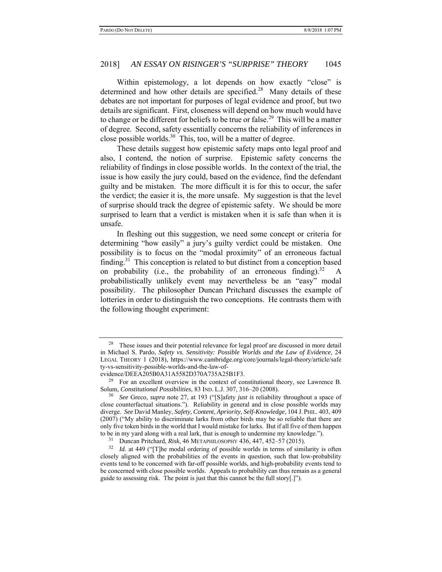Within epistemology, a lot depends on how exactly "close" is determined and how other details are specified.<sup>28</sup> Many details of these debates are not important for purposes of legal evidence and proof, but two details are significant. First, closeness will depend on how much would have to change or be different for beliefs to be true or false.<sup>29</sup> This will be a matter of degree. Second, safety essentially concerns the reliability of inferences in close possible worlds. $30$  This, too, will be a matter of degree.

These details suggest how epistemic safety maps onto legal proof and also, I contend, the notion of surprise. Epistemic safety concerns the reliability of findings in close possible worlds. In the context of the trial, the issue is how easily the jury could, based on the evidence, find the defendant guilty and be mistaken. The more difficult it is for this to occur, the safer the verdict; the easier it is, the more unsafe. My suggestion is that the level of surprise should track the degree of epistemic safety. We should be more surprised to learn that a verdict is mistaken when it is safe than when it is unsafe.

In fleshing out this suggestion, we need some concept or criteria for determining "how easily" a jury's guilty verdict could be mistaken. One possibility is to focus on the "modal proximity" of an erroneous factual finding.<sup>31</sup> This conception is related to but distinct from a conception based on probability (i.e., the probability of an erroneous finding).<sup>32</sup> A probabilistically unlikely event may nevertheless be an "easy" modal possibility. The philosopher Duncan Pritchard discusses the example of lotteries in order to distinguish the two conceptions. He contrasts them with the following thought experiment:

 $28$  These issues and their potential relevance for legal proof are discussed in more detail in Michael S. Pardo, *Safety vs. Sensitivity: Possible Worlds and the Law of Evidence*, 24 LEGAL THEORY 1 (2018), https://www.cambridge.org/core/journals/legal-theory/article/safe ty-vs-sensitivity-possible-worlds-and-the-law-of-

evidence/DEEA205B0A31A5582D370A735A25B1F3.

 $29$  For an excellent overview in the context of constitutional theory, see Lawrence B. Solum, *Constitutional Possibilities*, 83 IND. L.J. 307, 316–20 (2008).

<sup>30</sup> *See* Greco, *supra* note 27, at 193 ("[S]afety *just is* reliability throughout a space of close counterfactual situations."). Reliability in general and in close possible worlds may diverge. *See* David Manley, *Safety, Content, Apriority, Self-Knowledge*, 104 J. PHIL. 403, 409 (2007) ("My ability to discriminate larks from other birds may be so reliable that there are only five token birds in the world that I would mistake for larks. But if all five of them happen to be in my yard along with a real lark, that is enough to undermine my knowledge.").<br> $\frac{31}{2}$  Duncan Pritchard, *Piek, 46* METABUH OSOBUY 436, 447, 452, 57 (2015).

<sup>31</sup> Duncan Pritchard, *Risk*, 46 METAPHILOSOPHY 436, 447, 452–57 (2015).

<sup>&</sup>lt;sup>32</sup> *Id.* at 449 ("[T]he modal ordering of possible worlds in terms of similarity is often closely aligned with the probabilities of the events in question, such that low-probability events tend to be concerned with far-off possible worlds, and high-probability events tend to be concerned with close possible worlds. Appeals to probability can thus remain as a general guide to assessing risk. The point is just that this cannot be the full story[.]").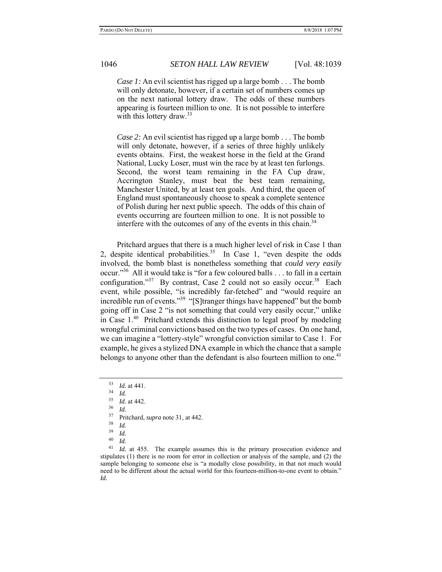*Case 1:* An evil scientist has rigged up a large bomb . . . The bomb will only detonate, however, if a certain set of numbers comes up on the next national lottery draw. The odds of these numbers appearing is fourteen million to one. It is not possible to interfere with this lottery draw. $33$ 

*Case 2:* An evil scientist has rigged up a large bomb . . . The bomb will only detonate, however, if a series of three highly unlikely events obtains. First, the weakest horse in the field at the Grand National, Lucky Loser, must win the race by at least ten furlongs. Second, the worst team remaining in the FA Cup draw, Accrington Stanley, must beat the best team remaining, Manchester United, by at least ten goals. And third, the queen of England must spontaneously choose to speak a complete sentence of Polish during her next public speech. The odds of this chain of events occurring are fourteen million to one. It is not possible to interfere with the outcomes of any of the events in this chain.<sup>34</sup>

Pritchard argues that there is a much higher level of risk in Case 1 than 2, despite identical probabilities.<sup>35</sup> In Case 1, "even despite the odds involved, the bomb blast is nonetheless something that *could very easily* occur."36 All it would take is "for a few coloured balls . . . to fall in a certain configuration."<sup>37</sup> By contrast, Case 2 could not so easily occur.<sup>38</sup> Each event, while possible, "is incredibly far-fetched" and "would require an incredible run of events."<sup>39</sup> "[S]tranger things have happened" but the bomb going off in Case 2 "is not something that could very easily occur," unlike in Case 1.40 Pritchard extends this distinction to legal proof by modeling wrongful criminal convictions based on the two types of cases. On one hand, we can imagine a "lottery-style" wrongful conviction similar to Case 1. For example, he gives a stylized DNA example in which the chance that a sample belongs to anyone other than the defendant is also fourteen million to one.<sup>41</sup>

- <sup>36</sup>*Id.* 37 Pritchard, *supra* note 31, at 442.
- $rac{38}{39}$  *Id.*
- $\frac{39}{40}$  *Id.*
- $\frac{40}{41}$  *Id.*

*Id.* at 455. The example assumes this is the primary prosecution evidence and stipulates (1) there is no room for error in collection or analysis of the sample, and (2) the sample belonging to someone else is "a modally close possibility, in that not much would need to be different about the actual world for this fourteen-million-to-one event to obtain." *Id.*

 $\frac{33}{34}$  *Id.* at 441.

 $rac{34}{35}$  *Id.* 

 $\frac{35}{36}$  *Id.* at 442.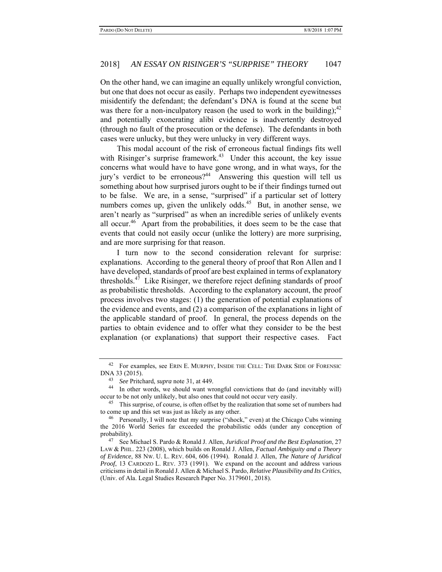On the other hand, we can imagine an equally unlikely wrongful conviction, but one that does not occur as easily. Perhaps two independent eyewitnesses misidentify the defendant; the defendant's DNA is found at the scene but was there for a non-inculpatory reason (he used to work in the building);  $42$ and potentially exonerating alibi evidence is inadvertently destroyed (through no fault of the prosecution or the defense). The defendants in both cases were unlucky, but they were unlucky in very different ways.

This modal account of the risk of erroneous factual findings fits well with Risinger's surprise framework.<sup>43</sup> Under this account, the key issue concerns what would have to have gone wrong, and in what ways, for the jury's verdict to be erroneous?<sup>44</sup> Answering this question will tell us something about how surprised jurors ought to be if their findings turned out to be false. We are, in a sense, "surprised" if a particular set of lottery numbers comes up, given the unlikely odds. $45$  But, in another sense, we aren't nearly as "surprised" as when an incredible series of unlikely events all occur.<sup>46</sup> Apart from the probabilities, it does seem to be the case that events that could not easily occur (unlike the lottery) are more surprising, and are more surprising for that reason.

I turn now to the second consideration relevant for surprise: explanations. According to the general theory of proof that Ron Allen and I have developed, standards of proof are best explained in terms of explanatory thresholds. $47$  Like Risinger, we therefore reject defining standards of proof as probabilistic thresholds. According to the explanatory account, the proof process involves two stages: (1) the generation of potential explanations of the evidence and events, and (2) a comparison of the explanations in light of the applicable standard of proof. In general, the process depends on the parties to obtain evidence and to offer what they consider to be the best explanation (or explanations) that support their respective cases. Fact

<sup>&</sup>lt;sup>42</sup> For examples, see ERIN E. MURPHY, INSIDE THE CELL: THE DARK SIDE OF FORENSIC DNA 33 (2015).<br><sup>43</sup> See Pritchard, supra note 31, at 449.

<sup>&</sup>lt;sup>44</sup> In other words, we should want wrongful convictions that do (and inevitably will) occur to be not only unlikely, but also ones that could not occur very easily.

<sup>&</sup>lt;sup>45</sup> This surprise, of course, is often offset by the realization that some set of numbers had to come up and this set was just as likely as any other.

<sup>&</sup>lt;sup>46</sup> Personally, I will note that my surprise ("shock," even) at the Chicago Cubs winning the 2016 World Series far exceeded the probabilistic odds (under any conception of probability).

<sup>47</sup> See Michael S. Pardo & Ronald J. Allen, *Juridical Proof and the Best Explanation*, 27 LAW & PHIL. 223 (2008), which builds on Ronald J. Allen, *Factual Ambiguity and a Theory of Evidence*, 88 NW. U. L. REV. 604, 606 (1994). Ronald J. Allen, *The Nature of Juridical Proof*, 13 CARDOZO L. REV. 373 (1991). We expand on the account and address various criticisms in detail in Ronald J. Allen & Michael S. Pardo, *Relative Plausibility and Its Critics*, (Univ. of Ala. Legal Studies Research Paper No. 3179601, 2018).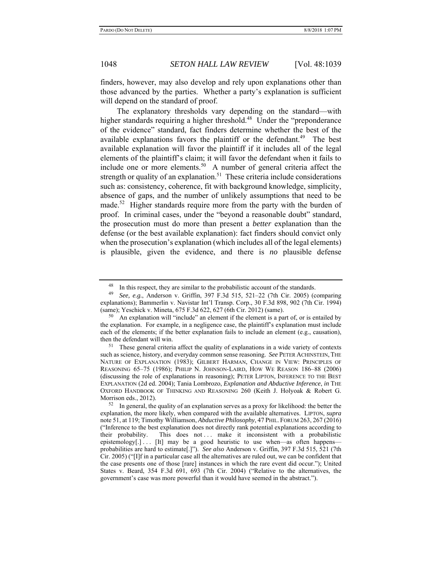finders, however, may also develop and rely upon explanations other than those advanced by the parties. Whether a party's explanation is sufficient will depend on the standard of proof.

The explanatory thresholds vary depending on the standard—with higher standards requiring a higher threshold.<sup>48</sup> Under the "preponderance" of the evidence" standard, fact finders determine whether the best of the available explanations favors the plaintiff or the defendant.<sup>49</sup> The best available explanation will favor the plaintiff if it includes all of the legal elements of the plaintiff's claim; it will favor the defendant when it fails to include one or more elements.<sup>50</sup> A number of general criteria affect the strength or quality of an explanation.<sup>51</sup> These criteria include considerations such as: consistency, coherence, fit with background knowledge, simplicity, absence of gaps, and the number of unlikely assumptions that need to be made.<sup>52</sup> Higher standards require more from the party with the burden of proof. In criminal cases, under the "beyond a reasonable doubt" standard, the prosecution must do more than present a *better* explanation than the defense (or the best available explanation): fact finders should convict only when the prosecution's explanation (which includes all of the legal elements) is plausible, given the evidence, and there is *no* plausible defense

In this respect, they are similar to the probabilistic account of the standards.

<sup>49</sup> *See, e.g.*, Anderson v. Griffin, 397 F.3d 515, 521–22 (7th Cir. 2005) (comparing explanations); Bammerlin v. Navistar Int'l Transp. Corp., 30 F.3d 898, 902 (7th Cir. 1994) (same); Yeschick v. Mineta, 675 F.3d 622, 627 (6th Cir. 2012) (same).

An explanation will "include" an element if the element is a part of, or is entailed by the explanation. For example, in a negligence case, the plaintiff's explanation must include each of the elements; if the better explanation fails to include an element (e.g., causation), then the defendant will win.

<sup>&</sup>lt;sup>51</sup> These general criteria affect the quality of explanations in a wide variety of contexts such as science, history, and everyday common sense reasoning. *See* PETER ACHINSTEIN, THE NATURE OF EXPLANATION (1983); GILBERT HARMAN, CHANGE IN VIEW: PRINCIPLES OF REASONING 65–75 (1986); PHILIP N. JOHNSON-LAIRD, HOW WE REASON 186–88 (2006) (discussing the role of explanations in reasoning); PETER LIPTON, INFERENCE TO THE BEST EXPLANATION (2d ed. 2004); Tania Lombrozo, *Explanation and Abductive Inference*, *in* THE OXFORD HANDBOOK OF THINKING AND REASONING 260 (Keith J. Holyoak & Robert G. Morrison eds., 2012).

 $52$  In general, the quality of an explanation serves as a proxy for likelihood: the better the explanation, the more likely, when compared with the available alternatives. LIPTON, *supra* note 51, at 119; Timothy Williamson, *Abductive Philosophy*, 47 PHIL. FORUM 263, 267 (2016) ("Inference to the best explanation does not directly rank potential explanations according to their probability. This does not ... make it inconsistent with a probabilistic epistemology[.] . . . [It] may be a good heuristic to use when—as often happens probabilities are hard to estimate[.]"). *See also* Anderson v. Griffin, 397 F.3d 515, 521 (7th Cir. 2005) ("[I]f in a particular case all the alternatives are ruled out, we can be confident that the case presents one of those [rare] instances in which the rare event did occur."); United States v. Beard, 354 F.3d 691, 693 (7th Cir. 2004) ("Relative to the alternatives, the government's case was more powerful than it would have seemed in the abstract.").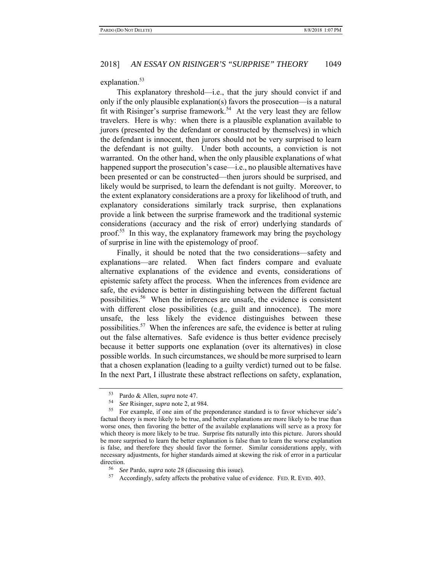#### explanation.<sup>53</sup>

This explanatory threshold—i.e., that the jury should convict if and only if the only plausible explanation(s) favors the prosecution—is a natural fit with Risinger's surprise framework.<sup>54</sup> At the very least they are fellow travelers. Here is why: when there is a plausible explanation available to jurors (presented by the defendant or constructed by themselves) in which the defendant is innocent, then jurors should not be very surprised to learn the defendant is not guilty. Under both accounts, a conviction is not warranted. On the other hand, when the only plausible explanations of what happened support the prosecution's case—i.e., no plausible alternatives have been presented or can be constructed—then jurors should be surprised, and likely would be surprised, to learn the defendant is not guilty. Moreover, to the extent explanatory considerations are a proxy for likelihood of truth, and explanatory considerations similarly track surprise, then explanations provide a link between the surprise framework and the traditional systemic considerations (accuracy and the risk of error) underlying standards of proof.55 In this way, the explanatory framework may bring the psychology of surprise in line with the epistemology of proof.

Finally, it should be noted that the two considerations—safety and explanations—are related. When fact finders compare and evaluate alternative explanations of the evidence and events, considerations of epistemic safety affect the process. When the inferences from evidence are safe, the evidence is better in distinguishing between the different factual possibilities.56 When the inferences are unsafe, the evidence is consistent with different close possibilities (e.g., guilt and innocence). The more unsafe, the less likely the evidence distinguishes between these possibilities.57 When the inferences are safe, the evidence is better at ruling out the false alternatives. Safe evidence is thus better evidence precisely because it better supports one explanation (over its alternatives) in close possible worlds. In such circumstances, we should be more surprised to learn that a chosen explanation (leading to a guilty verdict) turned out to be false. In the next Part, I illustrate these abstract reflections on safety, explanation,

<sup>56</sup>*See* Pardo, *supra* note 28 (discussing this issue). 57 Accordingly, safety affects the probative value of evidence. FED. R. EVID. 403.

 $^{53}$  Pardo & Allen, *supra* note 47.<br> $^{54}$  See Risinger, *supra* note 2, at

<sup>&</sup>lt;sup>54</sup> See Risinger, *supra* note 2, at 984.<br><sup>55</sup> For example, if one aim of the preponderance standard is to favor whichever side's factual theory is more likely to be true, and better explanations are more likely to be true than worse ones, then favoring the better of the available explanations will serve as a proxy for which theory is more likely to be true. Surprise fits naturally into this picture. Jurors should be more surprised to learn the better explanation is false than to learn the worse explanation is false, and therefore they should favor the former. Similar considerations apply, with necessary adjustments, for higher standards aimed at skewing the risk of error in a particular direction.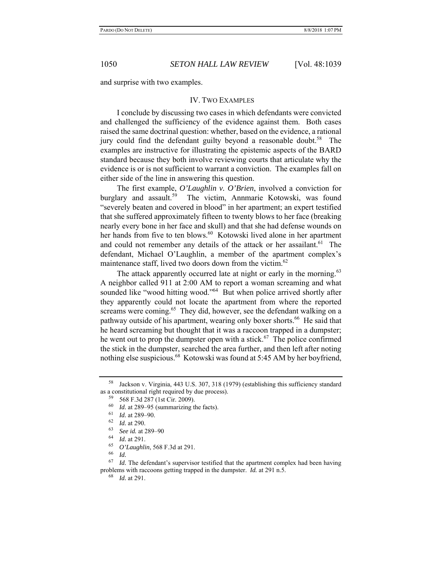and surprise with two examples.

#### IV. TWO EXAMPLES

I conclude by discussing two cases in which defendants were convicted and challenged the sufficiency of the evidence against them. Both cases raised the same doctrinal question: whether, based on the evidence, a rational jury could find the defendant guilty beyond a reasonable doubt.<sup>58</sup> The examples are instructive for illustrating the epistemic aspects of the BARD standard because they both involve reviewing courts that articulate why the evidence is or is not sufficient to warrant a conviction. The examples fall on either side of the line in answering this question.

The first example, *O'Laughlin v. O'Brien*, involved a conviction for burglary and assault.<sup>59</sup> The victim, Annmarie Kotowski, was found "severely beaten and covered in blood" in her apartment; an expert testified that she suffered approximately fifteen to twenty blows to her face (breaking nearly every bone in her face and skull) and that she had defense wounds on her hands from five to ten blows.<sup>60</sup> Kotowski lived alone in her apartment and could not remember any details of the attack or her assailant.<sup>61</sup> The defendant, Michael O'Laughlin, a member of the apartment complex's maintenance staff, lived two doors down from the victim. $62$ 

The attack apparently occurred late at night or early in the morning.<sup>63</sup> A neighbor called 911 at 2:00 AM to report a woman screaming and what sounded like "wood hitting wood."<sup>64</sup> But when police arrived shortly after they apparently could not locate the apartment from where the reported screams were coming.<sup>65</sup> They did, however, see the defendant walking on a pathway outside of his apartment, wearing only boxer shorts.<sup>66</sup> He said that he heard screaming but thought that it was a raccoon trapped in a dumpster; he went out to prop the dumpster open with a stick.<sup>67</sup> The police confirmed the stick in the dumpster, searched the area further, and then left after noting nothing else suspicious.<sup>68</sup> Kotowski was found at 5:45 AM by her boyfriend,

68 *Id.* at 291.

<sup>58</sup> Jackson v. Virginia, 443 U.S. 307, 318 (1979) (establishing this sufficiency standard as a constitutional right required by due process).

 $^{59}$  568 F.3d 287 (1st Cir. 2009).<br> $^{60}$  *L*, at 280, 05 (cummerizing the

 $^{60}$  *Id.* at 289–95 (summarizing the facts).

<sup>61</sup> *Id.* at 289–90.

 $\frac{62}{63}$  *Id.* at 290.

<sup>63</sup> *See id.* at 289–90

*Id.* at 291.

<sup>65</sup> *O'Laughlin*, 568 F.3d at 291.

<sup>&</sup>lt;sup>66</sup> *Id.*<br><sup>67</sup> *Id.* The defendant's supervisor testified that the apartment complex had been having problems with raccoons getting trapped in the dumpster. *Id.* at 291 n.5.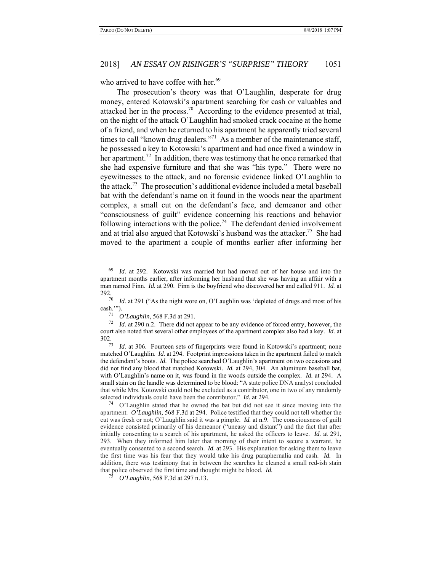who arrived to have coffee with her.<sup>69</sup>

The prosecution's theory was that O'Laughlin, desperate for drug money, entered Kotowski's apartment searching for cash or valuables and attacked her in the process.<sup>70</sup> According to the evidence presented at trial, on the night of the attack O'Laughlin had smoked crack cocaine at the home of a friend, and when he returned to his apartment he apparently tried several times to call "known drug dealers."<sup>71</sup> As a member of the maintenance staff, he possessed a key to Kotowski's apartment and had once fixed a window in her apartment.<sup>72</sup> In addition, there was testimony that he once remarked that she had expensive furniture and that she was "his type." There were no eyewitnesses to the attack, and no forensic evidence linked O'Laughlin to the attack.<sup>73</sup> The prosecution's additional evidence included a metal baseball bat with the defendant's name on it found in the woods near the apartment complex, a small cut on the defendant's face, and demeanor and other "consciousness of guilt" evidence concerning his reactions and behavior following interactions with the police.<sup>74</sup> The defendant denied involvement and at trial also argued that Kotowski's husband was the attacker.<sup>75</sup> She had moved to the apartment a couple of months earlier after informing her

*Id.* at 292. Kotowski was married but had moved out of her house and into the apartment months earlier, after informing her husband that she was having an affair with a man named Finn. *Id.* at 290. Finn is the boyfriend who discovered her and called 911. *Id.* at  $292.70$ 

*Id.* at 291 ("As the night wore on, O'Laughlin was 'depleted of drugs and most of his  $\cosh$ ."").

<sup>&</sup>lt;sup>71</sup> *O'Laughlin*, 568 F.3d at 291.<br><sup>72</sup> *Id at* 290 n 2. There did not

Id. at 290 n.2. There did not appear to be any evidence of forced entry, however, the court also noted that several other employees of the apartment complex also had a key. *Id.* at  $302.73$ 

*Id.* at 306. Fourteen sets of fingerprints were found in Kotowski's apartment; none matched O'Laughlin. *Id.* at 294. Footprint impressions taken in the apartment failed to match the defendant's boots. *Id.* The police searched O'Laughlin's apartment on two occasions and did not find any blood that matched Kotowski. *Id.* at 294, 304. An aluminum baseball bat, with O'Laughlin's name on it, was found in the woods outside the complex. *Id.* at 294. A small stain on the handle was determined to be blood: "A state police DNA analyst concluded that while Mrs. Kotowski could not be excluded as a contributor, one in two of any randomly selected individuals could have been the contributor." *Id.* at 294.

<sup>74</sup> O'Laughlin stated that he owned the bat but did not see it since moving into the apartment. *O'Laughlin*, 568 F.3d at 294. Police testified that they could not tell whether the cut was fresh or not; O'Laughlin said it was a pimple. *Id.* at n.9. The consciousness of guilt evidence consisted primarily of his demeanor ("uneasy and distant") and the fact that after initially consenting to a search of his apartment, he asked the officers to leave. *Id.* at 291, 293. When they informed him later that morning of their intent to secure a warrant, he eventually consented to a second search. *Id.* at 293. His explanation for asking them to leave the first time was his fear that they would take his drug paraphernalia and cash. *Id.* In addition, there was testimony that in between the searches he cleaned a small red-ish stain that police observed the first time and thought might be blood. *Id.* 75 *O'Laughlin*, 568 F.3d at 297 n.13.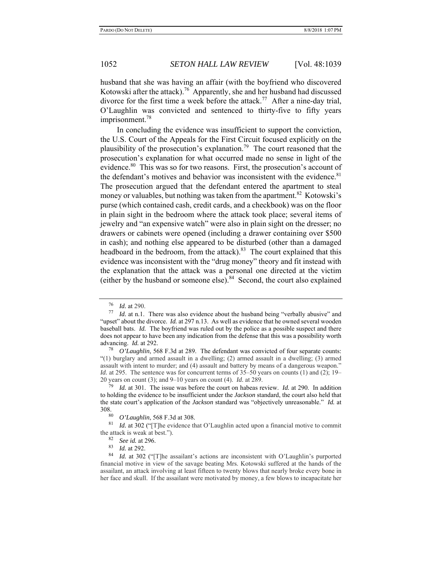husband that she was having an affair (with the boyfriend who discovered Kotowski after the attack).<sup>76</sup> Apparently, she and her husband had discussed divorce for the first time a week before the attack.<sup>77</sup> After a nine-day trial, O'Laughlin was convicted and sentenced to thirty-five to fifty years imprisonment.<sup>78</sup>

In concluding the evidence was insufficient to support the conviction, the U.S. Court of the Appeals for the First Circuit focused explicitly on the plausibility of the prosecution's explanation.<sup>79</sup> The court reasoned that the prosecution's explanation for what occurred made no sense in light of the evidence.<sup>80</sup> This was so for two reasons. First, the prosecution's account of the defendant's motives and behavior was inconsistent with the evidence. $81$ The prosecution argued that the defendant entered the apartment to steal money or valuables, but nothing was taken from the apartment.<sup>82</sup> Kotowski's purse (which contained cash, credit cards, and a checkbook) was on the floor in plain sight in the bedroom where the attack took place; several items of jewelry and "an expensive watch" were also in plain sight on the dresser; no drawers or cabinets were opened (including a drawer containing over \$500 in cash); and nothing else appeared to be disturbed (other than a damaged headboard in the bedroom, from the attack).<sup>83</sup> The court explained that this evidence was inconsistent with the "drug money" theory and fit instead with the explanation that the attack was a personal one directed at the victim (either by the husband or someone else). $84$  Second, the court also explained

<sup>76</sup>*Id.* at 290. 77 *Id.* at n.1. There was also evidence about the husband being "verbally abusive" and "upset" about the divorce. *Id.* at 297 n.13. As well as evidence that he owned several wooden baseball bats. *Id.* The boyfriend was ruled out by the police as a possible suspect and there does not appear to have been any indication from the defense that this was a possibility worth advancing. *Id.* at 292.

<sup>78</sup> *O'Laughlin*, 568 F.3d at 289. The defendant was convicted of four separate counts: "(1) burglary and armed assault in a dwelling; (2) armed assault in a dwelling; (3) armed assault with intent to murder; and (4) assault and battery by means of a dangerous weapon." *Id.* at 295. The sentence was for concurrent terms of 35–50 years on counts (1) and (2); 19–20 years on count (3); and 9–10 years on count (4). *Id.* at 289.

*Id.* at 301. The issue was before the court on habeas review. *Id.* at 290. In addition to holding the evidence to be insufficient under the *Jackson* standard, the court also held that the state court's application of the *Jackson* standard was "objectively unreasonable." *Id.* at 308.<br>80

<sup>&</sup>lt;sup>80</sup> *O'Laughlin*, 568 F.3d at 308.<br><sup>81</sup> *M* at 202. ("The axidence the

*Id.* at 302 ("[T]he evidence that O'Laughlin acted upon a financial motive to commit the attack is weak at best.").<br> $\frac{82}{3}$  *See id.* at 296.<br> $\frac{83}{3}$  *M* at 292

<sup>83</sup> *Id.* at 292.

Id. at 302 ("[T]he assailant's actions are inconsistent with O'Laughlin's purported financial motive in view of the savage beating Mrs. Kotowski suffered at the hands of the assailant, an attack involving at least fifteen to twenty blows that nearly broke every bone in her face and skull. If the assailant were motivated by money, a few blows to incapacitate her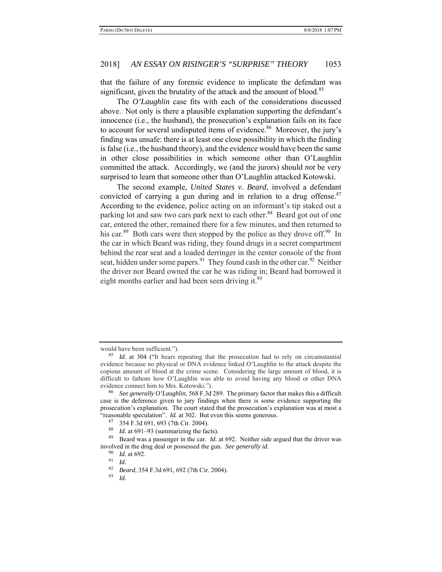that the failure of any forensic evidence to implicate the defendant was significant, given the brutality of the attack and the amount of blood.<sup>85</sup>

The *O'Laughlin* case fits with each of the considerations discussed above. Not only is there a plausible explanation supporting the defendant's innocence (i.e., the husband), the prosecution's explanation fails on its face to account for several undisputed items of evidence.<sup>86</sup> Moreover, the jury's finding was unsafe: there is at least one close possibility in which the finding is false (i.e., the husband theory), and the evidence would have been the same in other close possibilities in which someone other than O'Laughlin committed the attack. Accordingly, we (and the jurors) should *not* be very surprised to learn that someone other than O'Laughlin attacked Kotowski.

The second example, *United States v. Beard*, involved a defendant convicted of carrying a gun during and in relation to a drug offense.<sup>87</sup> According to the evidence, police acting on an informant's tip staked out a parking lot and saw two cars park next to each other.<sup>88</sup> Beard got out of one car, entered the other, remained there for a few minutes, and then returned to his car.<sup>89</sup> Both cars were then stopped by the police as they drove off.<sup>90</sup> In the car in which Beard was riding, they found drugs in a secret compartment behind the rear seat and a loaded derringer in the center console of the front seat, hidden under some papers.<sup>91</sup> They found cash in the other car.<sup>92</sup> Neither the driver nor Beard owned the car he was riding in; Beard had borrowed it eight months earlier and had been seen driving it.  $93$ 

would have been sufficient.").<br><sup>85</sup> *Id.* at 304 ("It bears repeating that the prosecution had to rely on circumstantial evidence because no physical or DNA evidence linked O'Laughlin to the attack despite the copious amount of blood at the crime scene. Considering the large amount of blood, it is difficult to fathom how O'Laughlin was able to avoid having any blood or other DNA

See generally O'Laughlin, 568 F.3d 289. The primary factor that makes this a difficult case is the deference given to jury findings when there is some evidence supporting the prosecution's explanation. The court stated that the prosecution's explanation was at most a "reasonable speculation". *Id.* at 302. But even this seems generous.

 $^{87}$  354 F.3d 691, 693 (7th Cir. 2004).

<sup>&</sup>lt;sup>88</sup> *Id.* at 691–93 (summarizing the facts).<br><sup>89</sup> Beard was a passenger in the car. *Id*.

Beard was a passenger in the car. *Id.* at 692. Neither side argued that the driver was involved in the drug deal or possessed the gun. *See generally id.* <sup>90</sup> *Id.* at 692.

<sup>&</sup>lt;sup>91</sup> *Id. Beard*, 354 F.3d 691, 692 (7th Cir. 2004).<br><sup>93</sup> *Id* 

*Id.*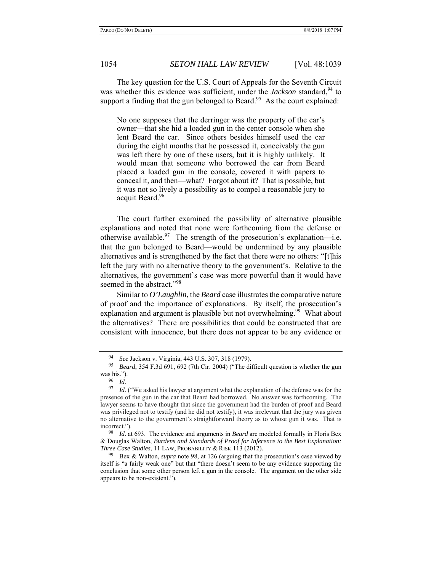The key question for the U.S. Court of Appeals for the Seventh Circuit was whether this evidence was sufficient, under the *Jackson* standard, <sup>94</sup> to support a finding that the gun belonged to Beard.<sup>95</sup> As the court explained:

No one supposes that the derringer was the property of the car's owner—that she hid a loaded gun in the center console when she lent Beard the car. Since others besides himself used the car during the eight months that he possessed it, conceivably the gun was left there by one of these users, but it is highly unlikely. It would mean that someone who borrowed the car from Beard placed a loaded gun in the console, covered it with papers to conceal it, and then—what? Forgot about it? That is possible, but it was not so lively a possibility as to compel a reasonable jury to acquit Beard.<sup>96</sup>

The court further examined the possibility of alternative plausible explanations and noted that none were forthcoming from the defense or otherwise available.<sup>97</sup> The strength of the prosecution's explanation—i.e. that the gun belonged to Beard—would be undermined by any plausible alternatives and is strengthened by the fact that there were no others: "[t]his left the jury with no alternative theory to the government's. Relative to the alternatives, the government's case was more powerful than it would have seemed in the abstract."<sup>98</sup>

Similar to *O'Laughlin*, the *Beard* case illustrates the comparative nature of proof and the importance of explanations. By itself, the prosecution's explanation and argument is plausible but not overwhelming.<sup>99</sup> What about the alternatives? There are possibilities that could be constructed that are consistent with innocence, but there does not appear to be any evidence or

<sup>94</sup> *See* Jackson v. Virginia, 443 U.S. 307, 318 (1979).

<sup>95</sup> *Beard*, 354 F.3d 691, 692 (7th Cir. 2004) ("The difficult question is whether the gun was his.").

<sup>96</sup>*Id.* 97 *Id.* ("We asked his lawyer at argument what the explanation of the defense was for the presence of the gun in the car that Beard had borrowed. No answer was forthcoming. The lawyer seems to have thought that since the government had the burden of proof and Beard was privileged not to testify (and he did not testify), it was irrelevant that the jury was given no alternative to the government's straightforward theory as to whose gun it was. That is incorrect."). 98 *Id.* at 693. The evidence and arguments in *Beard* are modeled formally in Floris Bex

<sup>&</sup>amp; Douglas Walton, *Burdens and Standards of Proof for Inference to the Best Explanation: Three Case Studies*, 11 LAW, PROBABILITY & RISK 113 (2012).

<sup>99</sup> Bex & Walton, *supra* note 98, at 126 (arguing that the prosecution's case viewed by itself is "a fairly weak one" but that "there doesn't seem to be any evidence supporting the conclusion that some other person left a gun in the console. The argument on the other side appears to be non-existent.").